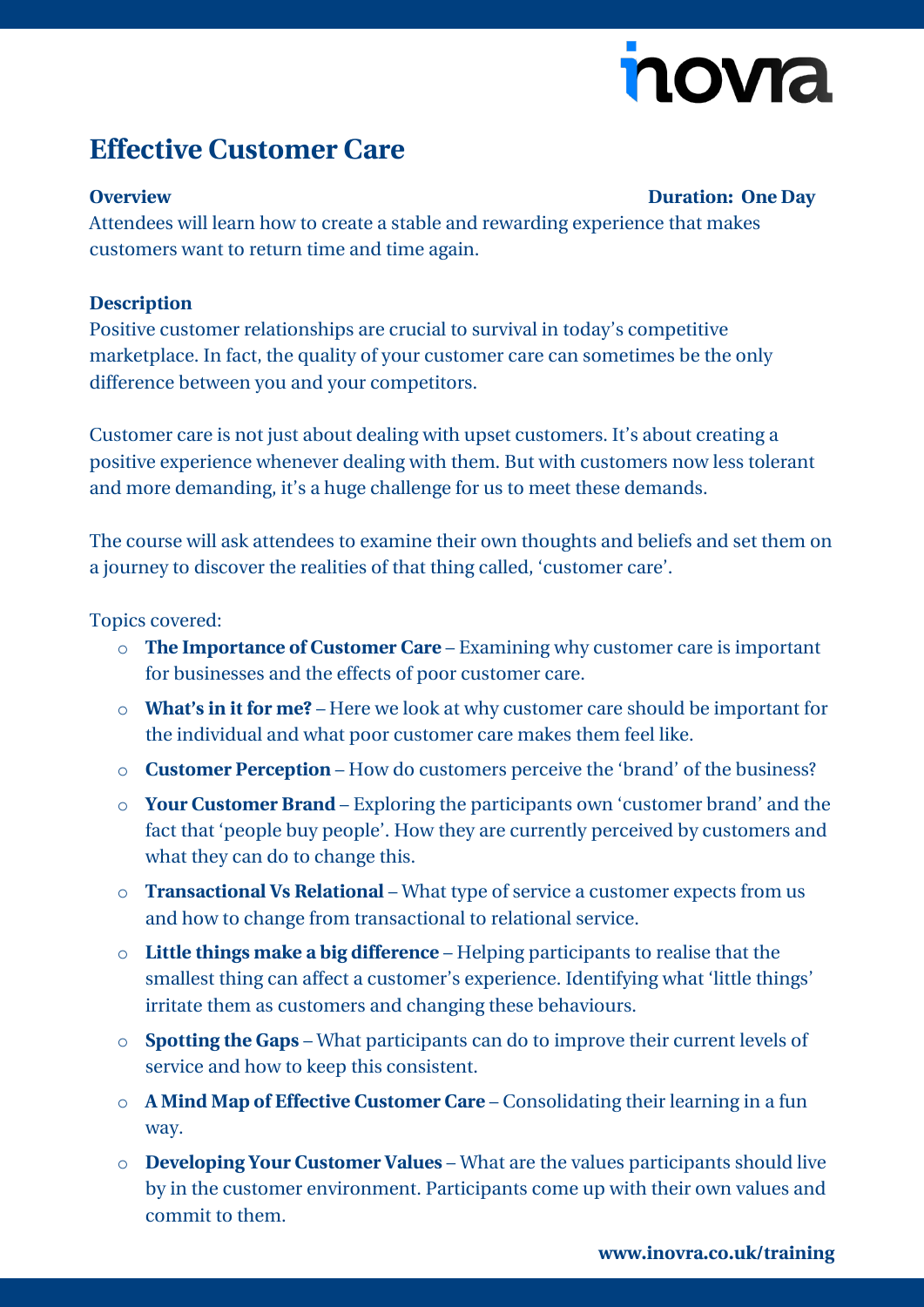# novia

## **Effective Customer Care**

#### **Overview Duration: One Day**

Attendees will learn how to create a stable and rewarding experience that makes customers want to return time and time again.

### **Description**

Positive customer relationships are crucial to survival in today's competitive marketplace. In fact, the quality of your customer care can sometimes be the only difference between you and your competitors.

Customer care is not just about dealing with upset customers. It's about creating a positive experience whenever dealing with them. But with customers now less tolerant and more demanding, it's a huge challenge for us to meet these demands.

The course will ask attendees to examine their own thoughts and beliefs and set them on a journey to discover the realities of that thing called, 'customer care'.

#### Topics covered:

- o **The Importance of Customer Care** Examining why customer care is important for businesses and the effects of poor customer care.
- o **What's in it for me?** Here we look at why customer care should be important for the individual and what poor customer care makes them feel like.
- o **Customer Perception** How do customers perceive the 'brand' of the business?
- o **Your Customer Brand** Exploring the participants own 'customer brand' and the fact that 'people buy people'. How they are currently perceived by customers and what they can do to change this.
- o **Transactional Vs Relational** What type of service a customer expects from us and how to change from transactional to relational service.
- o **Little things make a big difference** Helping participants to realise that the smallest thing can affect a customer's experience. Identifying what 'little things' irritate them as customers and changing these behaviours.
- o **Spotting the Gaps** What participants can do to improve their current levels of service and how to keep this consistent.
- o **A Mind Map of Effective Customer Care** Consolidating their learning in a fun way.
- o **Developing Your Customer Values** What are the values participants should live by in the customer environment. Participants come up with their own values and commit to them.